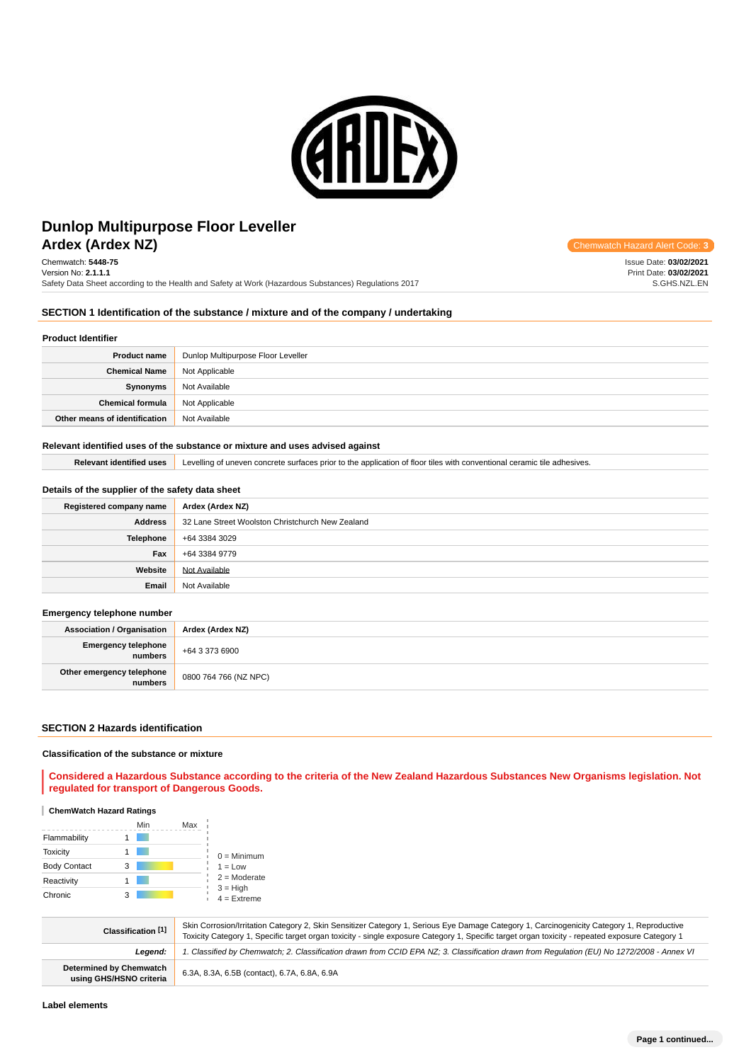

# **Ardex (Ardex NZ) Chemwatch Hazard Alert** Communication Communication Communication Communication Hazard Alert **Dunlop Multipurpose Floor Leveller**

Chemwatch: **5448-75** Version No: **2.1.1.1** Safety Data Sheet according to the Health and Safety at Work (Hazardous Substances) Regulations 2017

Issue Date: **03/02/2021** Print Date: **03/02/2021** S.GHS.NZL.EN

# **SECTION 1 Identification of the substance / mixture and of the company / undertaking**

### **Product Identifier**

| <b>Product name</b>           | Dunlop Multipurpose Floor Leveller |
|-------------------------------|------------------------------------|
| <b>Chemical Name</b>          | Not Applicable                     |
| Synonyms                      | Not Available                      |
| <b>Chemical formula</b>       | Not Applicable                     |
| Other means of identification | Not Available                      |

### **Relevant identified uses of the substance or mixture and uses advised against**

**Relevant identified uses** Levelling of uneven concrete surfaces prior to the application of floor tiles with conventional ceramic tile adhesives.

# **Details of the supplier of the safety data sheet**

| Registered company name | Ardex (Ardex NZ)                                 |
|-------------------------|--------------------------------------------------|
| Address                 | 32 Lane Street Woolston Christchurch New Zealand |
| <b>Telephone</b>        | +64 3384 3029                                    |
| Fax                     | +64 3384 9779                                    |
| Website                 | Not Available                                    |
| Email                   | Not Available                                    |

## **Emergency telephone number**

| <b>Association / Organisation</b>    | Ardex (Ardex NZ)      |  |
|--------------------------------------|-----------------------|--|
| Emergency telephone<br>numbers       | +64 3 373 6900        |  |
| Other emergency telephone<br>numbers | 0800 764 766 (NZ NPC) |  |

### **SECTION 2 Hazards identification**

### **Classification of the substance or mixture**

**Considered a Hazardous Substance according to the criteria of the New Zealand Hazardous Substances New Organisms legislation. Not regulated for transport of Dangerous Goods.**

## **ChemWatch Hazard Ratings**

|                     |   | Min | Max |                             |
|---------------------|---|-----|-----|-----------------------------|
| Flammability        |   |     |     |                             |
| <b>Toxicity</b>     |   |     |     | $0 =$ Minimum               |
| <b>Body Contact</b> | 3 |     |     | $1 = Low$                   |
| Reactivity          |   |     |     | $2 =$ Moderate              |
| Chronic             | з |     |     | $3 = High$<br>$4 =$ Extreme |

| Classification [1]                                        | Skin Corrosion/Irritation Category 2, Skin Sensitizer Category 1, Serious Eye Damage Category 1, Carcinogenicity Category 1, Reproductive<br>Toxicity Category 1, Specific target organ toxicity - single exposure Category 1, Specific target organ toxicity - repeated exposure Category 1 |
|-----------------------------------------------------------|----------------------------------------------------------------------------------------------------------------------------------------------------------------------------------------------------------------------------------------------------------------------------------------------|
| Leaend:                                                   | 1. Classified by Chemwatch; 2. Classification drawn from CCID EPA NZ; 3. Classification drawn from Requlation (EU) No 1272/2008 - Annex VI                                                                                                                                                   |
| <b>Determined by Chemwatch</b><br>using GHS/HSNO criteria | 6.3A, 8.3A, 6.5B (contact), 6.7A, 6.8A, 6.9A                                                                                                                                                                                                                                                 |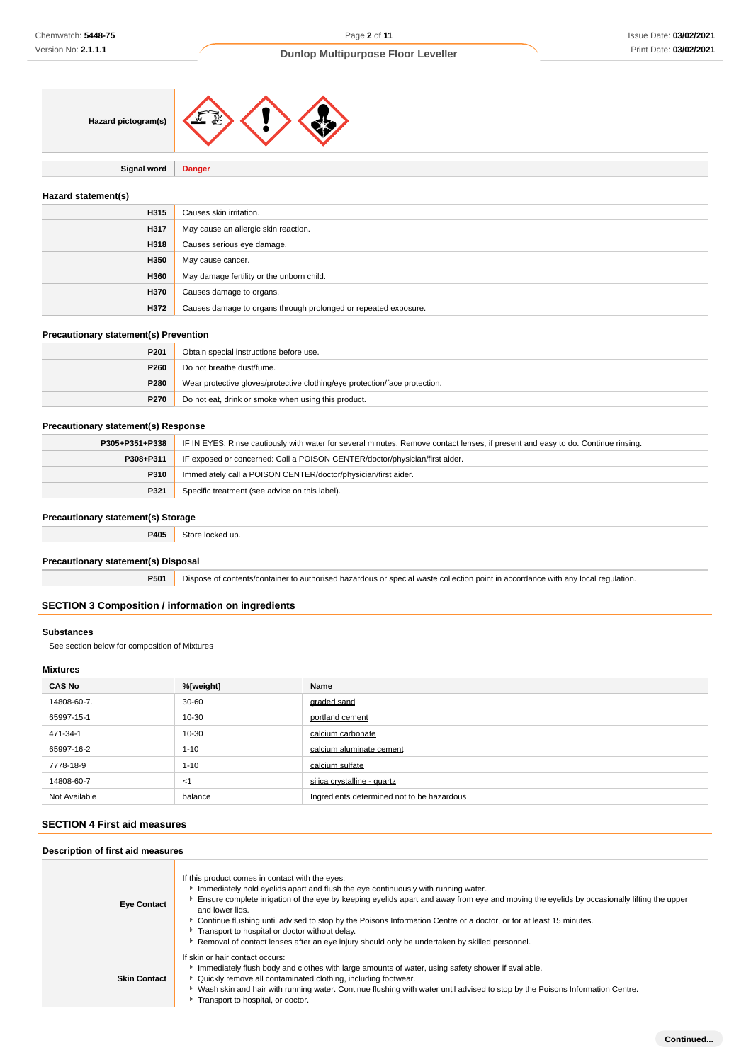

**Signal word Danger**

## **Hazard statement(s)**

| H315 | Causes skin irritation.                                         |
|------|-----------------------------------------------------------------|
| H317 | May cause an allergic skin reaction.                            |
| H318 | Causes serious eye damage.                                      |
| H350 | May cause cancer.                                               |
| H360 | May damage fertility or the unborn child.                       |
| H370 | Causes damage to organs.                                        |
| H372 | Causes damage to organs through prolonged or repeated exposure. |

## **Precautionary statement(s) Prevention**

| P <sub>201</sub> | Obtain special instructions before use.                                    |
|------------------|----------------------------------------------------------------------------|
| P260             | Do not breathe dust/fume.                                                  |
| P280             | Wear protective gloves/protective clothing/eye protection/face protection. |
| P270             | Do not eat, drink or smoke when using this product.                        |

# **Precautionary statement(s) Response**

| P305+P351+P338 | IF IN EYES: Rinse cautiously with water for several minutes. Remove contact lenses, if present and easy to do. Continue rinsing. |
|----------------|----------------------------------------------------------------------------------------------------------------------------------|
| P308+P311      | IF exposed or concerned: Call a POISON CENTER/doctor/physician/first aider.                                                      |
| P310           | Immediately call a POISON CENTER/doctor/physician/first aider.                                                                   |
| P321           | Specific treatment (see advice on this label).                                                                                   |

# **Precautionary statement(s) Storage**

| <b>P405</b> Store locked up. |
|------------------------------|
|                              |

## **Precautionary statement(s) Disposal**

**P501** Dispose of contents/container to authorised hazardous or special waste collection point in accordance with any local regulation.

## **SECTION 3 Composition / information on ingredients**

# **Substances**

See section below for composition of Mixtures

# **Mixtures**

| <b>CAS No</b> | %[weight] | Name                                       |
|---------------|-----------|--------------------------------------------|
| 14808-60-7.   | $30 - 60$ | graded sand                                |
| 65997-15-1    | 10-30     | portland cement                            |
| 471-34-1      | 10-30     | calcium carbonate                          |
| 65997-16-2    | $1 - 10$  | calcium aluminate cement                   |
| 7778-18-9     | $1 - 10$  | calcium sulfate                            |
| 14808-60-7    | $<$ 1     | silica crystalline - quartz                |
| Not Available | balance   | Ingredients determined not to be hazardous |

## **SECTION 4 First aid measures**

# **Description of first aid measures**

| <b>Eye Contact</b>  | If this product comes in contact with the eyes:<br>Immediately hold eyelids apart and flush the eye continuously with running water.<br>Ensure complete irrigation of the eye by keeping eyelids apart and away from eye and moving the eyelids by occasionally lifting the upper<br>and lower lids.<br>▶ Continue flushing until advised to stop by the Poisons Information Centre or a doctor, or for at least 15 minutes.<br>Transport to hospital or doctor without delay.<br>Removal of contact lenses after an eye injury should only be undertaken by skilled personnel. |
|---------------------|---------------------------------------------------------------------------------------------------------------------------------------------------------------------------------------------------------------------------------------------------------------------------------------------------------------------------------------------------------------------------------------------------------------------------------------------------------------------------------------------------------------------------------------------------------------------------------|
| <b>Skin Contact</b> | If skin or hair contact occurs:<br>Immediately flush body and clothes with large amounts of water, using safety shower if available.<br>• Quickly remove all contaminated clothing, including footwear.<br>▶ Wash skin and hair with running water. Continue flushing with water until advised to stop by the Poisons Information Centre.<br>Transport to hospital, or doctor.                                                                                                                                                                                                  |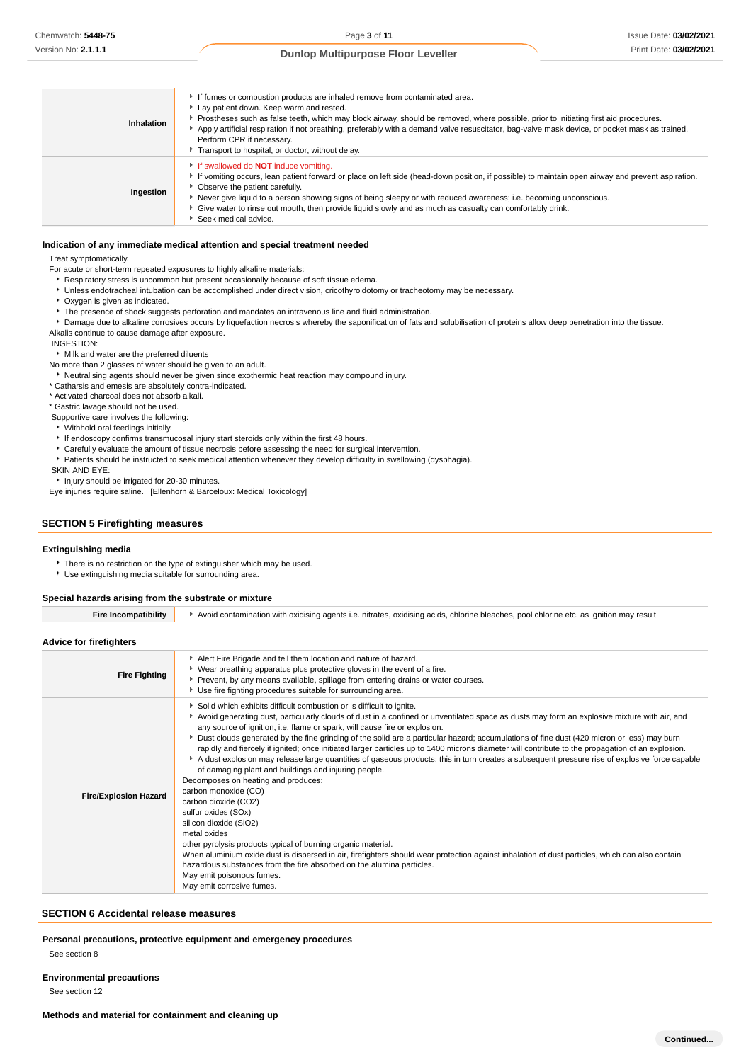Issue Date: **03/02/2021** Print Date: **03/02/2021**

## **Dunlop Multipurpose Floor Leveller**

| Inhalation | If fumes or combustion products are inhaled remove from contaminated area.<br>Lay patient down. Keep warm and rested.<br>▶ Prostheses such as false teeth, which may block airway, should be removed, where possible, prior to initiating first aid procedures.<br>Apply artificial respiration if not breathing, preferably with a demand valve resuscitator, bag-valve mask device, or pocket mask as trained.<br>Perform CPR if necessary.<br>Transport to hospital, or doctor, without delay. |
|------------|---------------------------------------------------------------------------------------------------------------------------------------------------------------------------------------------------------------------------------------------------------------------------------------------------------------------------------------------------------------------------------------------------------------------------------------------------------------------------------------------------|
| Ingestion  | If swallowed do <b>NOT</b> induce vomiting.<br>If vomiting occurs, lean patient forward or place on left side (head-down position, if possible) to maintain open airway and prevent aspiration.<br>• Observe the patient carefully.<br>Never give liquid to a person showing signs of being sleepy or with reduced awareness; i.e. becoming unconscious.<br>• Give water to rinse out mouth, then provide liquid slowly and as much as casualty can comfortably drink.<br>Seek medical advice.    |

#### **Indication of any immediate medical attention and special treatment needed**

Treat symptomatically.

For acute or short-term repeated exposures to highly alkaline materials:

- Respiratory stress is uncommon but present occasionally because of soft tissue edema.
- Unless endotracheal intubation can be accomplished under direct vision, cricothyroidotomy or tracheotomy may be necessary.
- Oxygen is given as indicated.
- **F** The presence of shock suggests perforation and mandates an intravenous line and fluid administration.

**P** Damage due to alkaline corrosives occurs by liquefaction necrosis whereby the saponification of fats and solubilisation of proteins allow deep penetration into the tissue. Alkalis continue to cause damage after exposure.

INGESTION:

Milk and water are the preferred diluents

No more than 2 glasses of water should be given to an adult.

Neutralising agents should never be given since exothermic heat reaction may compound injury.

\* Catharsis and emesis are absolutely contra-indicated.

\* Activated charcoal does not absorb alkali.

\* Gastric lavage should not be used.

Supportive care involves the following:

- Withhold oral feedings initially.
- If endoscopy confirms transmucosal injury start steroids only within the first 48 hours.
- Carefully evaluate the amount of tissue necrosis before assessing the need for surgical intervention.
- Patients should be instructed to seek medical attention whenever they develop difficulty in swallowing (dysphagia).

SKIN AND EYE:

**Injury should be irrigated for 20-30 minutes.** 

Eye injuries require saline. [Ellenhorn & Barceloux: Medical Toxicology]

### **SECTION 5 Firefighting measures**

### **Extinguishing media**

There is no restriction on the type of extinguisher which may be used.

Use extinguishing media suitable for surrounding area.

### **Special hazards arising from the substrate or mixture**

| <b>Fire Incompatibility</b>    | Avoid contamination with oxidising agents i.e. nitrates, oxidising acids, chlorine bleaches, pool chlorine etc. as ignition may result                                                                                                                                                                                                                                                                                                                                                                                                                                                                                                                                                                                                                                                                                                                                                                                                                                                                                                                                                                                                                                                                                                                                                                                         |  |  |  |
|--------------------------------|--------------------------------------------------------------------------------------------------------------------------------------------------------------------------------------------------------------------------------------------------------------------------------------------------------------------------------------------------------------------------------------------------------------------------------------------------------------------------------------------------------------------------------------------------------------------------------------------------------------------------------------------------------------------------------------------------------------------------------------------------------------------------------------------------------------------------------------------------------------------------------------------------------------------------------------------------------------------------------------------------------------------------------------------------------------------------------------------------------------------------------------------------------------------------------------------------------------------------------------------------------------------------------------------------------------------------------|--|--|--|
| <b>Advice for firefighters</b> |                                                                                                                                                                                                                                                                                                                                                                                                                                                                                                                                                                                                                                                                                                                                                                                                                                                                                                                                                                                                                                                                                                                                                                                                                                                                                                                                |  |  |  |
| <b>Fire Fighting</b>           | Alert Fire Brigade and tell them location and nature of hazard.<br>• Wear breathing apparatus plus protective gloves in the event of a fire.<br>Prevent, by any means available, spillage from entering drains or water courses.<br>Use fire fighting procedures suitable for surrounding area.                                                                                                                                                                                                                                                                                                                                                                                                                                                                                                                                                                                                                                                                                                                                                                                                                                                                                                                                                                                                                                |  |  |  |
| <b>Fire/Explosion Hazard</b>   | Solid which exhibits difficult combustion or is difficult to ignite.<br>▶ Avoid generating dust, particularly clouds of dust in a confined or unventilated space as dusts may form an explosive mixture with air, and<br>any source of ignition, i.e. flame or spark, will cause fire or explosion.<br>> Dust clouds generated by the fine grinding of the solid are a particular hazard; accumulations of fine dust (420 micron or less) may burn<br>rapidly and fiercely if ignited; once initiated larger particles up to 1400 microns diameter will contribute to the propagation of an explosion.<br>A dust explosion may release large quantities of gaseous products; this in turn creates a subsequent pressure rise of explosive force capable<br>of damaging plant and buildings and injuring people.<br>Decomposes on heating and produces:<br>carbon monoxide (CO)<br>carbon dioxide (CO2)<br>sulfur oxides (SOx)<br>silicon dioxide (SiO2)<br>metal oxides<br>other pyrolysis products typical of burning organic material.<br>When aluminium oxide dust is dispersed in air, firefighters should wear protection against inhalation of dust particles, which can also contain<br>hazardous substances from the fire absorbed on the alumina particles.<br>May emit poisonous fumes.<br>May emit corrosive fumes. |  |  |  |

#### **SECTION 6 Accidental release measures**

**Personal precautions, protective equipment and emergency procedures**

See section 8

### **Environmental precautions**

See section 12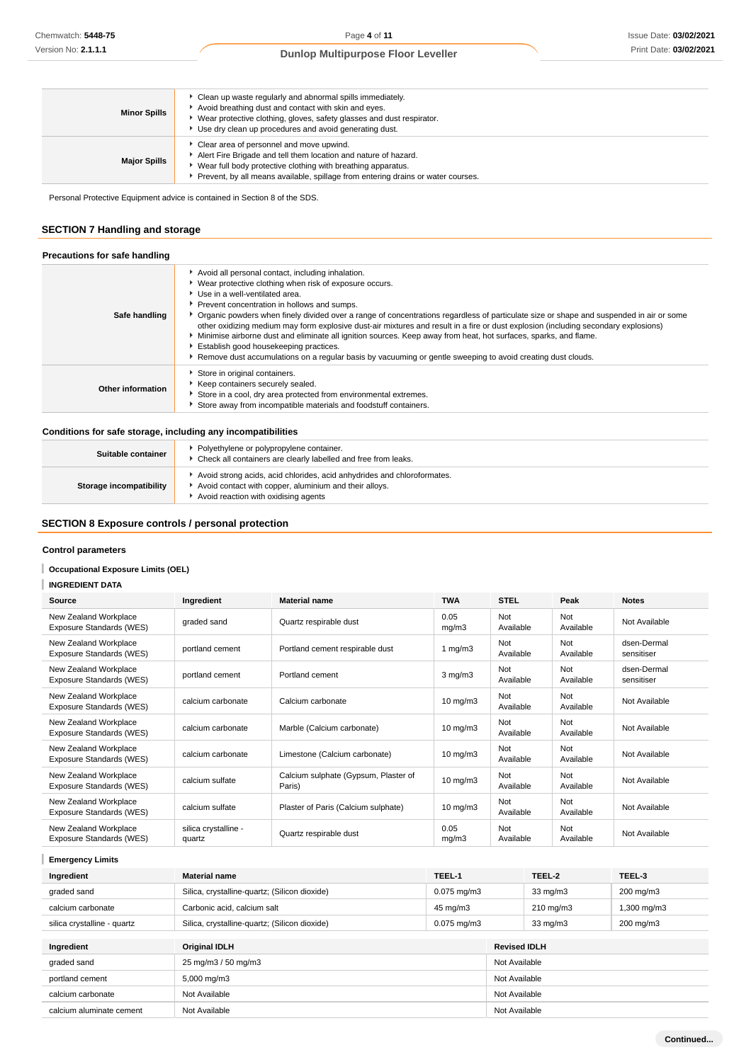| <b>Minor Spills</b> | Clean up waste regularly and abnormal spills immediately.<br>Avoid breathing dust and contact with skin and eyes.<br>▶ Wear protective clothing, gloves, safety glasses and dust respirator.<br>Use dry clean up procedures and avoid generating dust.          |
|---------------------|-----------------------------------------------------------------------------------------------------------------------------------------------------------------------------------------------------------------------------------------------------------------|
| <b>Major Spills</b> | Clear area of personnel and move upwind.<br>Alert Fire Brigade and tell them location and nature of hazard.<br>Wear full body protective clothing with breathing apparatus.<br>Prevent, by all means available, spillage from entering drains or water courses. |

Personal Protective Equipment advice is contained in Section 8 of the SDS.

# **SECTION 7 Handling and storage**

| Precautions for safe handling |                                                                                                                                                                                                                                                                                                                                                                                                                                                                                                                                                                                                                                                                                                                                                                 |
|-------------------------------|-----------------------------------------------------------------------------------------------------------------------------------------------------------------------------------------------------------------------------------------------------------------------------------------------------------------------------------------------------------------------------------------------------------------------------------------------------------------------------------------------------------------------------------------------------------------------------------------------------------------------------------------------------------------------------------------------------------------------------------------------------------------|
| Safe handling                 | Avoid all personal contact, including inhalation.<br>▶ Wear protective clothing when risk of exposure occurs.<br>Use in a well-ventilated area.<br>Prevent concentration in hollows and sumps.<br>▶ Organic powders when finely divided over a range of concentrations regardless of particulate size or shape and suspended in air or some<br>other oxidizing medium may form explosive dust-air mixtures and result in a fire or dust explosion (including secondary explosions)<br>Minimise airborne dust and eliminate all ignition sources. Keep away from heat, hot surfaces, sparks, and flame.<br>Establish good housekeeping practices.<br>Remove dust accumulations on a regular basis by vacuuming or gentle sweeping to avoid creating dust clouds. |
| Other information             | Store in original containers.<br>Keep containers securely sealed.<br>Store in a cool, dry area protected from environmental extremes.<br>Store away from incompatible materials and foodstuff containers.                                                                                                                                                                                                                                                                                                                                                                                                                                                                                                                                                       |

## **Conditions for safe storage, including any incompatibilities**

| Suitable container      | Polyethylene or polypropylene container.<br>Check all containers are clearly labelled and free from leaks.                                                                |
|-------------------------|---------------------------------------------------------------------------------------------------------------------------------------------------------------------------|
| Storage incompatibility | Avoid strong acids, acid chlorides, acid anhydrides and chloroformates.<br>Avoid contact with copper, aluminium and their alloys.<br>Avoid reaction with oxidising agents |

# **SECTION 8 Exposure controls / personal protection**

# **Control parameters**

## **Occupational Exposure Limits (OEL)**

## **INGREDIENT DATA**

| Source                                            | Ingredient                     | <b>Material name</b>                           | <b>TWA</b>          | <b>STEL</b>      | Peak             | <b>Notes</b>              |
|---------------------------------------------------|--------------------------------|------------------------------------------------|---------------------|------------------|------------------|---------------------------|
| New Zealand Workplace<br>Exposure Standards (WES) | graded sand                    | Quartz respirable dust                         | 0.05<br>mg/m3       | Not<br>Available | Not<br>Available | Not Available             |
| New Zealand Workplace<br>Exposure Standards (WES) | portland cement                | Portland cement respirable dust                | 1 $mg/m3$           | Not<br>Available | Not<br>Available | dsen-Dermal<br>sensitiser |
| New Zealand Workplace<br>Exposure Standards (WES) | portland cement                | Portland cement                                | $3$ mg/m $3$        | Not<br>Available | Not<br>Available | dsen-Dermal<br>sensitiser |
| New Zealand Workplace<br>Exposure Standards (WES) | calcium carbonate              | Calcium carbonate                              | $10 \text{ mg/m}$ 3 | Not<br>Available | Not<br>Available | Not Available             |
| New Zealand Workplace<br>Exposure Standards (WES) | calcium carbonate              | Marble (Calcium carbonate)                     | $10 \text{ mg/m}$ 3 | Not<br>Available | Not<br>Available | Not Available             |
| New Zealand Workplace<br>Exposure Standards (WES) | calcium carbonate              | Limestone (Calcium carbonate)                  | $10 \text{ mg/m}$ 3 | Not<br>Available | Not<br>Available | Not Available             |
| New Zealand Workplace<br>Exposure Standards (WES) | calcium sulfate                | Calcium sulphate (Gypsum, Plaster of<br>Paris) | $10 \text{ mg/m}$   | Not<br>Available | Not<br>Available | Not Available             |
| New Zealand Workplace<br>Exposure Standards (WES) | calcium sulfate                | Plaster of Paris (Calcium sulphate)            | $10 \text{ mg/m}$ 3 | Not<br>Available | Not<br>Available | Not Available             |
| New Zealand Workplace<br>Exposure Standards (WES) | silica crystalline -<br>quartz | Quartz respirable dust                         | 0.05<br>mg/m3       | Not<br>Available | Not<br>Available | Not Available             |

**Emergency Limits**

| Ingredient                  | <b>Material name</b>                          | TEEL-1           |                     | TEEL-2             | TEEL-3           |
|-----------------------------|-----------------------------------------------|------------------|---------------------|--------------------|------------------|
| graded sand                 | Silica, crystalline-quartz; (Silicon dioxide) | $0.075$ mg/m $3$ | $33 \text{ mg/m}$   |                    | 200 mg/m3        |
| calcium carbonate           | Carbonic acid, calcium salt                   | 45 mg/m3         |                     | $210 \text{ mg/m}$ | $1,300$ mg/m $3$ |
| silica crystalline - quartz | Silica, crystalline-quartz; (Silicon dioxide) | $0.075$ mg/m $3$ |                     | $33 \text{ mg/m}$  | 200 mg/m3        |
|                             |                                               |                  |                     |                    |                  |
| Ingredient                  | <b>Original IDLH</b>                          |                  | <b>Revised IDLH</b> |                    |                  |
| graded sand                 | 25 mg/m3 / 50 mg/m3                           |                  | Not Available       |                    |                  |
| portland cement             | 5,000 mg/m3                                   |                  | Not Available       |                    |                  |
| calcium carbonate           | Not Available                                 |                  | Not Available       |                    |                  |
| calcium aluminate cement    | Not Available                                 |                  | Not Available       |                    |                  |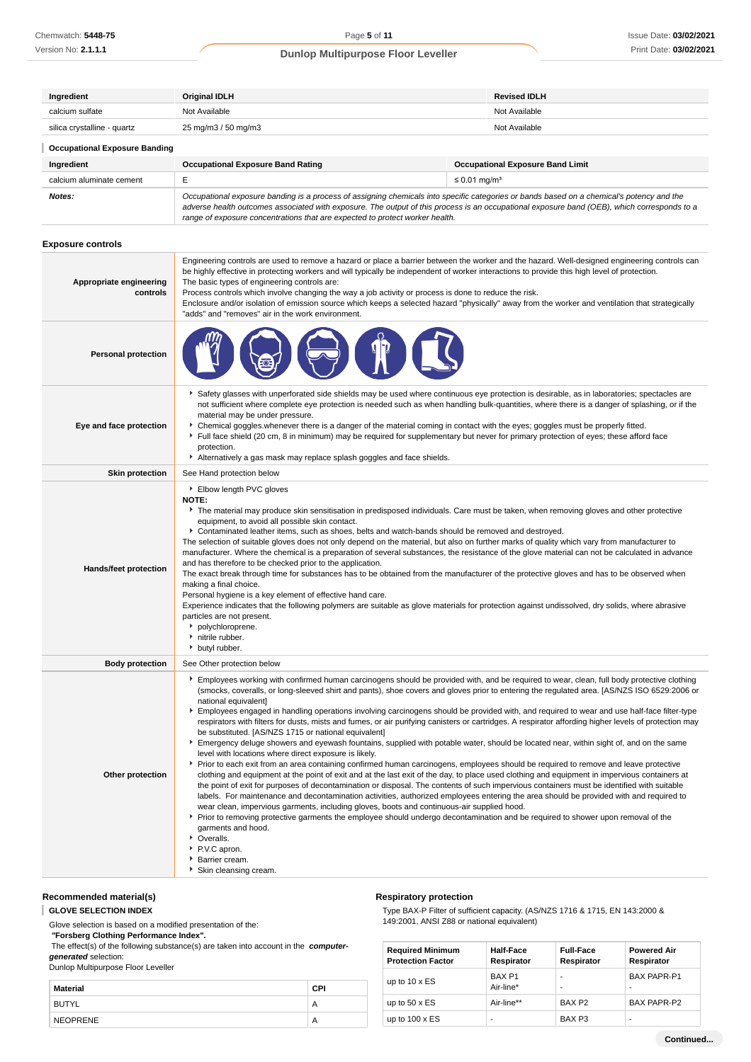| Ingredient                           | <b>Original IDLH</b>                                                                                                                                                                                                                                                                                                                                                     | <b>Revised IDLH</b>                     |  |  |  |
|--------------------------------------|--------------------------------------------------------------------------------------------------------------------------------------------------------------------------------------------------------------------------------------------------------------------------------------------------------------------------------------------------------------------------|-----------------------------------------|--|--|--|
| calcium sulfate                      | Not Available                                                                                                                                                                                                                                                                                                                                                            | Not Available                           |  |  |  |
| silica crystalline - quartz          | 25 mg/m3 / 50 mg/m3                                                                                                                                                                                                                                                                                                                                                      | Not Available                           |  |  |  |
| <b>Occupational Exposure Banding</b> |                                                                                                                                                                                                                                                                                                                                                                          |                                         |  |  |  |
| Ingredient                           | <b>Occupational Exposure Band Rating</b>                                                                                                                                                                                                                                                                                                                                 | <b>Occupational Exposure Band Limit</b> |  |  |  |
| calcium aluminate cement             | $\leq$ 0.01 mg/m <sup>3</sup>                                                                                                                                                                                                                                                                                                                                            |                                         |  |  |  |
| Notes:                               | Occupational exposure banding is a process of assigning chemicals into specific categories or bands based on a chemical's potency and the<br>adverse health outcomes associated with exposure. The output of this process is an occupational exposure band (OEB), which corresponds to a<br>range of exposure concentrations that are expected to protect worker health. |                                         |  |  |  |

## **Exposure controls**

| Appropriate engineering<br>controls | Engineering controls are used to remove a hazard or place a barrier between the worker and the hazard. Well-designed engineering controls can<br>be highly effective in protecting workers and will typically be independent of worker interactions to provide this high level of protection.<br>The basic types of engineering controls are:<br>Process controls which involve changing the way a job activity or process is done to reduce the risk.<br>Enclosure and/or isolation of emission source which keeps a selected hazard "physically" away from the worker and ventilation that strategically<br>"adds" and "removes" air in the work environment.                                                                                                                                                                                                                                                                                                                                                                                                                                                                                                                                                                                                                                                                                                                                                                                                                                                                                                                                                                                                                                                                                                                                        |  |
|-------------------------------------|--------------------------------------------------------------------------------------------------------------------------------------------------------------------------------------------------------------------------------------------------------------------------------------------------------------------------------------------------------------------------------------------------------------------------------------------------------------------------------------------------------------------------------------------------------------------------------------------------------------------------------------------------------------------------------------------------------------------------------------------------------------------------------------------------------------------------------------------------------------------------------------------------------------------------------------------------------------------------------------------------------------------------------------------------------------------------------------------------------------------------------------------------------------------------------------------------------------------------------------------------------------------------------------------------------------------------------------------------------------------------------------------------------------------------------------------------------------------------------------------------------------------------------------------------------------------------------------------------------------------------------------------------------------------------------------------------------------------------------------------------------------------------------------------------------|--|
| <b>Personal protection</b>          |                                                                                                                                                                                                                                                                                                                                                                                                                                                                                                                                                                                                                                                                                                                                                                                                                                                                                                                                                                                                                                                                                                                                                                                                                                                                                                                                                                                                                                                                                                                                                                                                                                                                                                                                                                                                        |  |
| Eye and face protection             | Safety glasses with unperforated side shields may be used where continuous eye protection is desirable, as in laboratories; spectacles are<br>not sufficient where complete eye protection is needed such as when handling bulk-quantities, where there is a danger of splashing, or if the<br>material may be under pressure.<br>• Chemical goggles whenever there is a danger of the material coming in contact with the eyes; goggles must be properly fitted.<br>Full face shield (20 cm, 8 in minimum) may be required for supplementary but never for primary protection of eyes; these afford face<br>protection.<br>Alternatively a gas mask may replace splash goggles and face shields.                                                                                                                                                                                                                                                                                                                                                                                                                                                                                                                                                                                                                                                                                                                                                                                                                                                                                                                                                                                                                                                                                                      |  |
| <b>Skin protection</b>              | See Hand protection below                                                                                                                                                                                                                                                                                                                                                                                                                                                                                                                                                                                                                                                                                                                                                                                                                                                                                                                                                                                                                                                                                                                                                                                                                                                                                                                                                                                                                                                                                                                                                                                                                                                                                                                                                                              |  |
| <b>Hands/feet protection</b>        | Elbow length PVC gloves<br>NOTE:<br>The material may produce skin sensitisation in predisposed individuals. Care must be taken, when removing gloves and other protective<br>equipment, to avoid all possible skin contact.<br>Contaminated leather items, such as shoes, belts and watch-bands should be removed and destroyed.<br>The selection of suitable gloves does not only depend on the material, but also on further marks of quality which vary from manufacturer to<br>manufacturer. Where the chemical is a preparation of several substances, the resistance of the glove material can not be calculated in advance<br>and has therefore to be checked prior to the application.<br>The exact break through time for substances has to be obtained from the manufacturer of the protective gloves and has to be observed when<br>making a final choice.<br>Personal hygiene is a key element of effective hand care.<br>Experience indicates that the following polymers are suitable as glove materials for protection against undissolved, dry solids, where abrasive<br>particles are not present.<br>polychloroprene.<br>initrile rubber.<br>butyl rubber.                                                                                                                                                                                                                                                                                                                                                                                                                                                                                                                                                                                                                           |  |
| <b>Body protection</b>              | See Other protection below                                                                                                                                                                                                                                                                                                                                                                                                                                                                                                                                                                                                                                                                                                                                                                                                                                                                                                                                                                                                                                                                                                                                                                                                                                                                                                                                                                                                                                                                                                                                                                                                                                                                                                                                                                             |  |
| Other protection                    | Employees working with confirmed human carcinogens should be provided with, and be required to wear, clean, full body protective clothing<br>(smocks, coveralls, or long-sleeved shirt and pants), shoe covers and gloves prior to entering the regulated area. [AS/NZS ISO 6529:2006 or<br>national equivalent]<br>Employees engaged in handling operations involving carcinogens should be provided with, and required to wear and use half-face filter-type<br>respirators with filters for dusts, mists and fumes, or air purifying canisters or cartridges. A respirator affording higher levels of protection may<br>be substituted. [AS/NZS 1715 or national equivalent]<br>Emergency deluge showers and eyewash fountains, supplied with potable water, should be located near, within sight of, and on the same<br>level with locations where direct exposure is likely.<br>▶ Prior to each exit from an area containing confirmed human carcinogens, employees should be required to remove and leave protective<br>clothing and equipment at the point of exit and at the last exit of the day, to place used clothing and equipment in impervious containers at<br>the point of exit for purposes of decontamination or disposal. The contents of such impervious containers must be identified with suitable<br>labels. For maintenance and decontamination activities, authorized employees entering the area should be provided with and required to<br>wear clean, impervious garments, including gloves, boots and continuous-air supplied hood.<br>▶ Prior to removing protective garments the employee should undergo decontamination and be required to shower upon removal of the<br>garments and hood.<br>• Overalls.<br>P.V.C apron.<br>Barrier cream.<br>Skin cleansing cream. |  |

# **Recommended material(s)**

**GLOVE SELECTION INDEX**

Glove selection is based on a modified presentation of the:

#### **"Forsberg Clothing Performance Index".**

 The effect(s) of the following substance(s) are taken into account in the **computergenerated** selection:

### Dunlop Multipurpose Floor Leveller

| . .<br>__       |            |
|-----------------|------------|
| Material        | <b>CPI</b> |
| BUTYL           | Α          |
| <b>NEOPRENE</b> | Α          |

# **Respiratory protection**

Type BAX-P Filter of sufficient capacity. (AS/NZS 1716 & 1715, EN 143:2000 & 149:2001, ANSI Z88 or national equivalent)

| <b>Required Minimum</b><br><b>Protection Factor</b> | <b>Half-Face</b><br>Respirator | <b>Full-Face</b><br>Respirator | <b>Powered Air</b><br>Respirator |
|-----------------------------------------------------|--------------------------------|--------------------------------|----------------------------------|
| up to $10 \times ES$                                | BAX <sub>P1</sub><br>Air-line* | -                              | <b>BAX PAPR-P1</b><br>-          |
| up to $50 \times ES$                                | Air-line**                     | BAX <sub>P2</sub>              | <b>BAX PAPR-P2</b>               |
| up to $100 \times ES$                               | ۰                              | BAX <sub>P3</sub>              | -                                |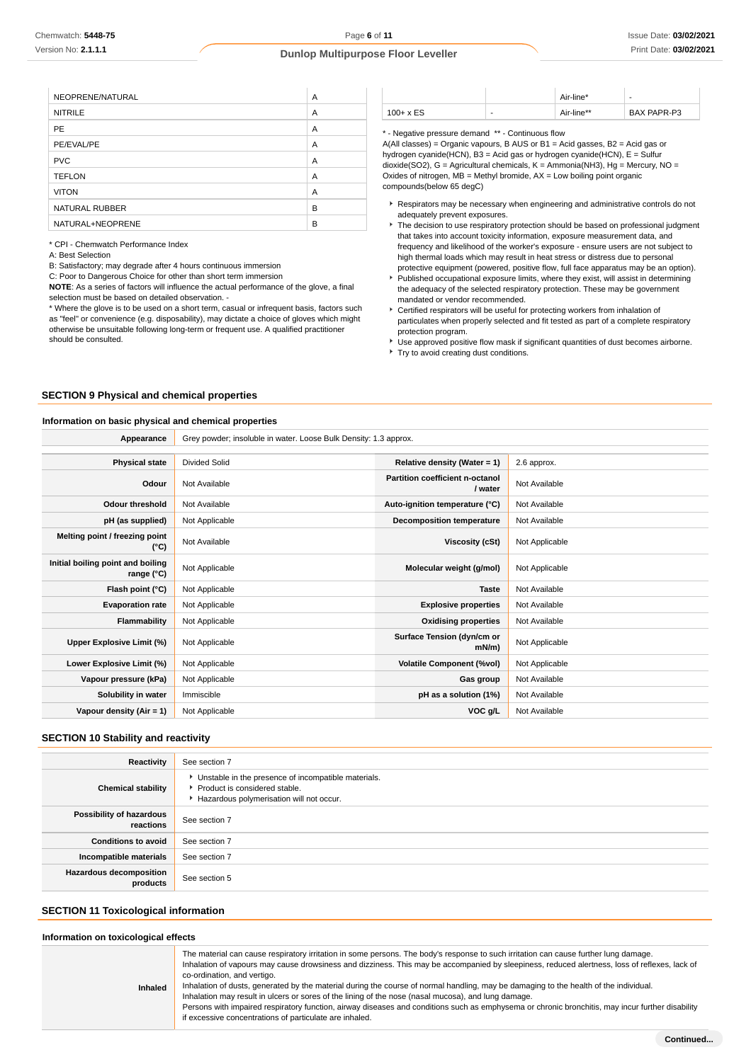| NEOPRENE/NATURAL | A |
|------------------|---|
| <b>NITRILE</b>   | A |
| <b>PE</b>        | A |
| PE/EVAL/PE       | A |
| <b>PVC</b>       | A |
| <b>TEFLON</b>    | A |
| <b>VITON</b>     | A |
| NATURAL RUBBER   | B |
| NATURAL+NEOPRENE | B |

\* CPI - Chemwatch Performance Index

A: Best Selection

B: Satisfactory; may degrade after 4 hours continuous immersion

C: Poor to Dangerous Choice for other than short term immersion

**NOTE**: As a series of factors will influence the actual performance of the glove, a final selection must be based on detailed observation. -

\* Where the glove is to be used on a short term, casual or infrequent basis, factors such as "feel" or convenience (e.g. disposability), may dictate a choice of gloves which might otherwise be unsuitable following long-term or frequent use. A qualified practitioner should be consulted.

|              |   | Air-line*  | -           |
|--------------|---|------------|-------------|
| $100 + x ES$ | - | Air-line** | BAX PAPR-P3 |

\* - Negative pressure demand \*\* - Continuous flow

A(All classes) = Organic vapours, B AUS or B1 = Acid gasses, B2 = Acid gas or hydrogen cyanide(HCN), B3 = Acid gas or hydrogen cyanide(HCN), E = Sulfur dioxide(SO2), G = Agricultural chemicals, K = Ammonia(NH3), Hg = Mercury, NO = Oxides of nitrogen,  $MB =$  Methyl bromide,  $AX =$  Low boiling point organic compounds(below 65 degC)

- Respirators may be necessary when engineering and administrative controls do not adequately prevent exposures.
- $\blacktriangleright$  The decision to use respiratory protection should be based on professional judgment that takes into account toxicity information, exposure measurement data, and frequency and likelihood of the worker's exposure - ensure users are not subject to high thermal loads which may result in heat stress or distress due to personal protective equipment (powered, positive flow, full face apparatus may be an option).
- Published occupational exposure limits, where they exist, will assist in determining the adequacy of the selected respiratory protection. These may be government mandated or vendor recommended.
- Certified respirators will be useful for protecting workers from inhalation of particulates when properly selected and fit tested as part of a complete respiratory protection program.
- Use approved positive flow mask if significant quantities of dust becomes airborne. Try to avoid creating dust conditions.

### **SECTION 9 Physical and chemical properties**

### **Information on basic physical and chemical properties**

| Appearance                                      | Grey powder; insoluble in water. Loose Bulk Density: 1.3 approx. |                                            |                |
|-------------------------------------------------|------------------------------------------------------------------|--------------------------------------------|----------------|
|                                                 |                                                                  |                                            |                |
| <b>Physical state</b>                           | Divided Solid                                                    | Relative density (Water = 1)               | 2.6 approx.    |
| Odour                                           | Not Available                                                    | Partition coefficient n-octanol<br>/ water | Not Available  |
| <b>Odour threshold</b>                          | Not Available                                                    | Auto-ignition temperature (°C)             | Not Available  |
| pH (as supplied)                                | Not Applicable                                                   | <b>Decomposition temperature</b>           | Not Available  |
| Melting point / freezing point<br>(°C)          | Not Available                                                    | Viscosity (cSt)                            | Not Applicable |
| Initial boiling point and boiling<br>range (°C) | Not Applicable                                                   | Molecular weight (g/mol)                   | Not Applicable |
| Flash point (°C)                                | Not Applicable                                                   | <b>Taste</b>                               | Not Available  |
| <b>Evaporation rate</b>                         | Not Applicable                                                   | <b>Explosive properties</b>                | Not Available  |
| Flammability                                    | Not Applicable                                                   | <b>Oxidising properties</b>                | Not Available  |
| Upper Explosive Limit (%)                       | Not Applicable                                                   | Surface Tension (dyn/cm or<br>$mN/m$ )     | Not Applicable |
| Lower Explosive Limit (%)                       | Not Applicable                                                   | <b>Volatile Component (%vol)</b>           | Not Applicable |
| Vapour pressure (kPa)                           | Not Applicable                                                   | Gas group                                  | Not Available  |
| Solubility in water                             | Immiscible                                                       | pH as a solution (1%)                      | Not Available  |
| Vapour density (Air = 1)                        | Not Applicable                                                   | VOC g/L                                    | Not Available  |

## **SECTION 10 Stability and reactivity**

| Reactivity                            | See section 7                                                                                                                      |
|---------------------------------------|------------------------------------------------------------------------------------------------------------------------------------|
| <b>Chemical stability</b>             | • Unstable in the presence of incompatible materials.<br>Product is considered stable.<br>Hazardous polymerisation will not occur. |
| Possibility of hazardous<br>reactions | See section 7                                                                                                                      |
| <b>Conditions to avoid</b>            | See section 7                                                                                                                      |
| Incompatible materials                | See section 7                                                                                                                      |
| Hazardous decomposition<br>products   | See section 5                                                                                                                      |

# **SECTION 11 Toxicological information**

#### **Information on toxicological effects**

| Inhaled | The material can cause respiratory irritation in some persons. The body's response to such irritation can cause further lung damage.<br>Inhalation of vapours may cause drowsiness and dizziness. This may be accompanied by sleepiness, reduced alertness, loss of reflexes, lack of<br>co-ordination, and vertigo.<br>Inhalation of dusts, generated by the material during the course of normal handling, may be damaging to the health of the individual.<br>Inhalation may result in ulcers or sores of the lining of the nose (nasal mucosa), and lung damage.<br>Persons with impaired respiratory function, airway diseases and conditions such as emphysema or chronic bronchitis, may incur further disability<br>if excessive concentrations of particulate are inhaled. |
|---------|-------------------------------------------------------------------------------------------------------------------------------------------------------------------------------------------------------------------------------------------------------------------------------------------------------------------------------------------------------------------------------------------------------------------------------------------------------------------------------------------------------------------------------------------------------------------------------------------------------------------------------------------------------------------------------------------------------------------------------------------------------------------------------------|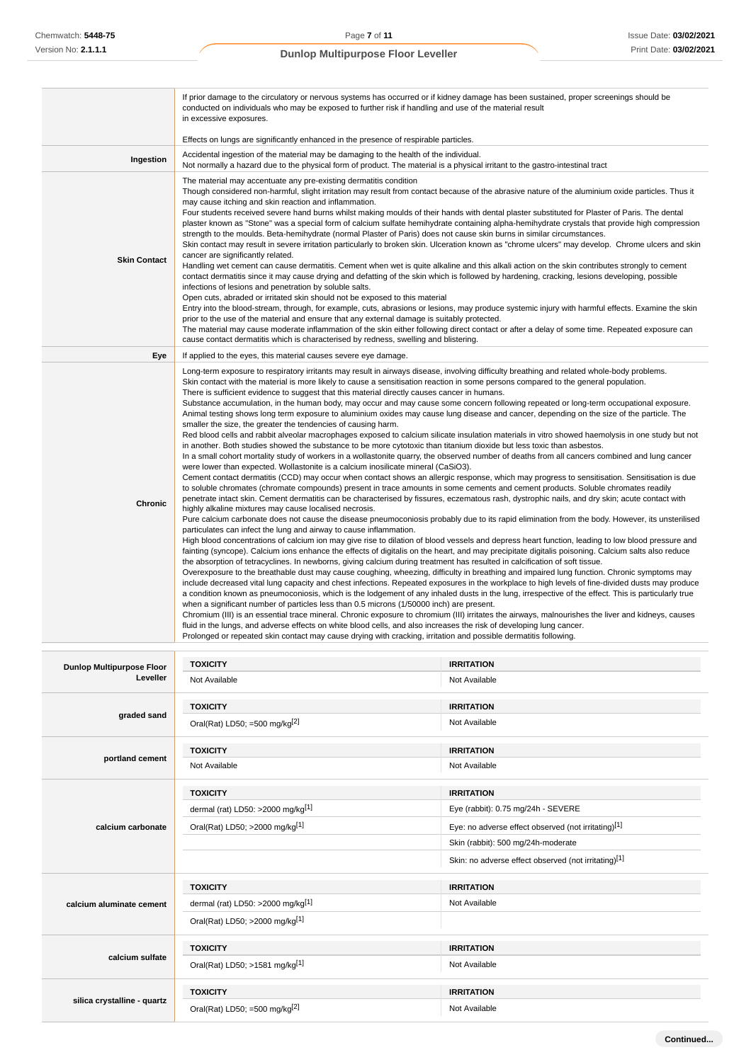|                                  | If prior damage to the circulatory or nervous systems has occurred or if kidney damage has been sustained, proper screenings should be<br>conducted on individuals who may be exposed to further risk if handling and use of the material result<br>in excessive exposures.                                                                                                                                                                                                                                                                                                                                                                                                                                                                                                                                                                                                                                                                                                                                                                                                                                                                                                                                                                                                                                                                                                                                                                                                                                                                                                                                                                                                                                                                                                                                                                                                                                                                                                                                                                                                                                                                                                                                                                                                                                                                                                                                                                                                                                                                                                                                                                                                                                                                                                                                                                                                                                                                                                                                                                                                                                                                                                                                                                                           |                   |  |
|----------------------------------|-----------------------------------------------------------------------------------------------------------------------------------------------------------------------------------------------------------------------------------------------------------------------------------------------------------------------------------------------------------------------------------------------------------------------------------------------------------------------------------------------------------------------------------------------------------------------------------------------------------------------------------------------------------------------------------------------------------------------------------------------------------------------------------------------------------------------------------------------------------------------------------------------------------------------------------------------------------------------------------------------------------------------------------------------------------------------------------------------------------------------------------------------------------------------------------------------------------------------------------------------------------------------------------------------------------------------------------------------------------------------------------------------------------------------------------------------------------------------------------------------------------------------------------------------------------------------------------------------------------------------------------------------------------------------------------------------------------------------------------------------------------------------------------------------------------------------------------------------------------------------------------------------------------------------------------------------------------------------------------------------------------------------------------------------------------------------------------------------------------------------------------------------------------------------------------------------------------------------------------------------------------------------------------------------------------------------------------------------------------------------------------------------------------------------------------------------------------------------------------------------------------------------------------------------------------------------------------------------------------------------------------------------------------------------------------------------------------------------------------------------------------------------------------------------------------------------------------------------------------------------------------------------------------------------------------------------------------------------------------------------------------------------------------------------------------------------------------------------------------------------------------------------------------------------------------------------------------------------------------------------------------------------|-------------------|--|
|                                  | Effects on lungs are significantly enhanced in the presence of respirable particles.                                                                                                                                                                                                                                                                                                                                                                                                                                                                                                                                                                                                                                                                                                                                                                                                                                                                                                                                                                                                                                                                                                                                                                                                                                                                                                                                                                                                                                                                                                                                                                                                                                                                                                                                                                                                                                                                                                                                                                                                                                                                                                                                                                                                                                                                                                                                                                                                                                                                                                                                                                                                                                                                                                                                                                                                                                                                                                                                                                                                                                                                                                                                                                                  |                   |  |
| Ingestion                        | Accidental ingestion of the material may be damaging to the health of the individual.<br>Not normally a hazard due to the physical form of product. The material is a physical irritant to the gastro-intestinal tract                                                                                                                                                                                                                                                                                                                                                                                                                                                                                                                                                                                                                                                                                                                                                                                                                                                                                                                                                                                                                                                                                                                                                                                                                                                                                                                                                                                                                                                                                                                                                                                                                                                                                                                                                                                                                                                                                                                                                                                                                                                                                                                                                                                                                                                                                                                                                                                                                                                                                                                                                                                                                                                                                                                                                                                                                                                                                                                                                                                                                                                |                   |  |
| <b>Skin Contact</b>              | The material may accentuate any pre-existing dermatitis condition<br>Though considered non-harmful, slight irritation may result from contact because of the abrasive nature of the aluminium oxide particles. Thus it<br>may cause itching and skin reaction and inflammation.<br>Four students received severe hand burns whilst making moulds of their hands with dental plaster substituted for Plaster of Paris. The dental<br>plaster known as "Stone" was a special form of calcium sulfate hemihydrate containing alpha-hemihydrate crystals that provide high compression<br>strength to the moulds. Beta-hemihydrate (normal Plaster of Paris) does not cause skin burns in similar circumstances.<br>Skin contact may result in severe irritation particularly to broken skin. Ulceration known as "chrome ulcers" may develop. Chrome ulcers and skin<br>cancer are significantly related.<br>Handling wet cement can cause dermatitis. Cement when wet is quite alkaline and this alkali action on the skin contributes strongly to cement<br>contact dermatitis since it may cause drying and defatting of the skin which is followed by hardening, cracking, lesions developing, possible<br>infections of lesions and penetration by soluble salts.<br>Open cuts, abraded or irritated skin should not be exposed to this material<br>Entry into the blood-stream, through, for example, cuts, abrasions or lesions, may produce systemic injury with harmful effects. Examine the skin<br>prior to the use of the material and ensure that any external damage is suitably protected.<br>The material may cause moderate inflammation of the skin either following direct contact or after a delay of some time. Repeated exposure can<br>cause contact dermatitis which is characterised by redness, swelling and blistering.                                                                                                                                                                                                                                                                                                                                                                                                                                                                                                                                                                                                                                                                                                                                                                                                                                                                                                                                                                                                                                                                                                                                                                                                                                                                                                                                                                                                                       |                   |  |
| Eye                              | If applied to the eyes, this material causes severe eye damage.                                                                                                                                                                                                                                                                                                                                                                                                                                                                                                                                                                                                                                                                                                                                                                                                                                                                                                                                                                                                                                                                                                                                                                                                                                                                                                                                                                                                                                                                                                                                                                                                                                                                                                                                                                                                                                                                                                                                                                                                                                                                                                                                                                                                                                                                                                                                                                                                                                                                                                                                                                                                                                                                                                                                                                                                                                                                                                                                                                                                                                                                                                                                                                                                       |                   |  |
| <b>Chronic</b>                   | Long-term exposure to respiratory irritants may result in airways disease, involving difficulty breathing and related whole-body problems.<br>Skin contact with the material is more likely to cause a sensitisation reaction in some persons compared to the general population.<br>There is sufficient evidence to suggest that this material directly causes cancer in humans.<br>Substance accumulation, in the human body, may occur and may cause some concern following repeated or long-term occupational exposure.<br>Animal testing shows long term exposure to aluminium oxides may cause lung disease and cancer, depending on the size of the particle. The<br>smaller the size, the greater the tendencies of causing harm.<br>Red blood cells and rabbit alveolar macrophages exposed to calcium silicate insulation materials in vitro showed haemolysis in one study but not<br>in another. Both studies showed the substance to be more cytotoxic than titanium dioxide but less toxic than asbestos.<br>In a small cohort mortality study of workers in a wollastonite quarry, the observed number of deaths from all cancers combined and lung cancer<br>were lower than expected. Wollastonite is a calcium inosilicate mineral (CaSiO3).<br>Cement contact dermatitis (CCD) may occur when contact shows an allergic response, which may progress to sensitisation. Sensitisation is due<br>to soluble chromates (chromate compounds) present in trace amounts in some cements and cement products. Soluble chromates readily<br>penetrate intact skin. Cement dermatitis can be characterised by fissures, eczematous rash, dystrophic nails, and dry skin; acute contact with<br>highly alkaline mixtures may cause localised necrosis.<br>Pure calcium carbonate does not cause the disease pneumoconiosis probably due to its rapid elimination from the body. However, its unsterilised<br>particulates can infect the lung and airway to cause inflammation.<br>High blood concentrations of calcium ion may give rise to dilation of blood vessels and depress heart function, leading to low blood pressure and<br>fainting (syncope). Calcium ions enhance the effects of digitalis on the heart, and may precipitate digitalis poisoning. Calcium salts also reduce<br>the absorption of tetracyclines. In newborns, giving calcium during treatment has resulted in calcification of soft tissue.<br>Overexposure to the breathable dust may cause coughing, wheezing, difficulty in breathing and impaired lung function. Chronic symptoms may<br>include decreased vital lung capacity and chest infections. Repeated exposures in the workplace to high levels of fine-divided dusts may produce<br>a condition known as pneumoconiosis, which is the lodgement of any inhaled dusts in the lung, irrespective of the effect. This is particularly true<br>when a significant number of particles less than 0.5 microns (1/50000 inch) are present.<br>Chromium (III) is an essential trace mineral. Chronic exposure to chromium (III) irritates the airways, malnourishes the liver and kidneys, causes<br>fluid in the lungs, and adverse effects on white blood cells, and also increases the risk of developing lung cancer. |                   |  |
| <b>Dunlop Multipurpose Floor</b> | <b>TOXICITY</b>                                                                                                                                                                                                                                                                                                                                                                                                                                                                                                                                                                                                                                                                                                                                                                                                                                                                                                                                                                                                                                                                                                                                                                                                                                                                                                                                                                                                                                                                                                                                                                                                                                                                                                                                                                                                                                                                                                                                                                                                                                                                                                                                                                                                                                                                                                                                                                                                                                                                                                                                                                                                                                                                                                                                                                                                                                                                                                                                                                                                                                                                                                                                                                                                                                                       | <b>IRRITATION</b> |  |
| Leveller                         | Not Available                                                                                                                                                                                                                                                                                                                                                                                                                                                                                                                                                                                                                                                                                                                                                                                                                                                                                                                                                                                                                                                                                                                                                                                                                                                                                                                                                                                                                                                                                                                                                                                                                                                                                                                                                                                                                                                                                                                                                                                                                                                                                                                                                                                                                                                                                                                                                                                                                                                                                                                                                                                                                                                                                                                                                                                                                                                                                                                                                                                                                                                                                                                                                                                                                                                         | Not Available     |  |

| <b>Dunlop Multipurpose Floor</b> | <b>IUAIUI</b> I                      | IRRITATION                                           |
|----------------------------------|--------------------------------------|------------------------------------------------------|
| Leveller                         | Not Available                        | Not Available                                        |
|                                  | <b>TOXICITY</b>                      | <b>IRRITATION</b>                                    |
| graded sand                      | Oral(Rat) LD50; =500 mg/kg $[2]$     | Not Available                                        |
|                                  | <b>TOXICITY</b>                      | <b>IRRITATION</b>                                    |
| portland cement                  | Not Available                        | Not Available                                        |
|                                  | <b>TOXICITY</b>                      | <b>IRRITATION</b>                                    |
|                                  | dermal (rat) LD50: >2000 mg/kg[1]    | Eye (rabbit): 0.75 mg/24h - SEVERE                   |
| calcium carbonate                | Oral(Rat) LD50; >2000 mg/kg[1]       | Eye: no adverse effect observed (not irritating)[1]  |
|                                  |                                      | Skin (rabbit): 500 mg/24h-moderate                   |
|                                  |                                      | Skin: no adverse effect observed (not irritating)[1] |
|                                  | <b>TOXICITY</b>                      | <b>IRRITATION</b>                                    |
| calcium aluminate cement         | dermal (rat) LD50: >2000 mg/kg $[1]$ | Not Available                                        |
|                                  | Oral(Rat) LD50; >2000 mg/kg[1]       |                                                      |
|                                  | <b>TOXICITY</b>                      | <b>IRRITATION</b>                                    |
| calcium sulfate                  | Oral(Rat) LD50; >1581 mg/kg[1]       | Not Available                                        |
|                                  | <b>TOXICITY</b>                      | <b>IRRITATION</b>                                    |
| silica crystalline - quartz      | Oral(Rat) LD50; =500 mg/kg $[2]$     | Not Available                                        |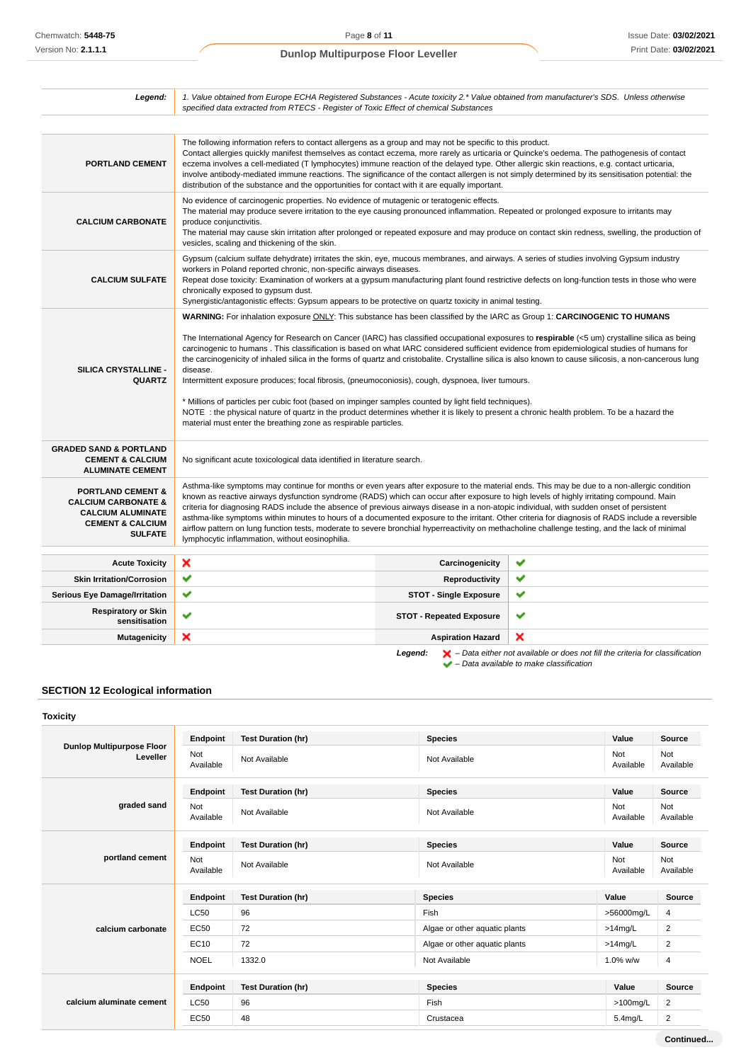| Legend:                                                                                                                                     | 1. Value obtained from Europe ECHA Registered Substances - Acute toxicity 2.* Value obtained from manufacturer's SDS. Unless otherwise<br>specified data extracted from RTECS - Register of Toxic Effect of chemical Substances                                                                                                                                                                                                                                                                                                                                                                                                                                                                                                                                                                                                                                                                                                                                                                                                  |                                 |   |
|---------------------------------------------------------------------------------------------------------------------------------------------|----------------------------------------------------------------------------------------------------------------------------------------------------------------------------------------------------------------------------------------------------------------------------------------------------------------------------------------------------------------------------------------------------------------------------------------------------------------------------------------------------------------------------------------------------------------------------------------------------------------------------------------------------------------------------------------------------------------------------------------------------------------------------------------------------------------------------------------------------------------------------------------------------------------------------------------------------------------------------------------------------------------------------------|---------------------------------|---|
|                                                                                                                                             |                                                                                                                                                                                                                                                                                                                                                                                                                                                                                                                                                                                                                                                                                                                                                                                                                                                                                                                                                                                                                                  |                                 |   |
| <b>PORTLAND CEMENT</b>                                                                                                                      | The following information refers to contact allergens as a group and may not be specific to this product.<br>Contact allergies quickly manifest themselves as contact eczema, more rarely as urticaria or Quincke's oedema. The pathogenesis of contact<br>eczema involves a cell-mediated (T lymphocytes) immune reaction of the delayed type. Other allergic skin reactions, e.g. contact urticaria,<br>involve antibody-mediated immune reactions. The significance of the contact allergen is not simply determined by its sensitisation potential: the<br>distribution of the substance and the opportunities for contact with it are equally important.                                                                                                                                                                                                                                                                                                                                                                    |                                 |   |
| <b>CALCIUM CARBONATE</b>                                                                                                                    | No evidence of carcinogenic properties. No evidence of mutagenic or teratogenic effects.<br>The material may produce severe irritation to the eye causing pronounced inflammation. Repeated or prolonged exposure to irritants may<br>produce conjunctivitis.<br>The material may cause skin irritation after prolonged or repeated exposure and may produce on contact skin redness, swelling, the production of<br>vesicles, scaling and thickening of the skin.                                                                                                                                                                                                                                                                                                                                                                                                                                                                                                                                                               |                                 |   |
| <b>CALCIUM SULFATE</b>                                                                                                                      | Gypsum (calcium sulfate dehydrate) irritates the skin, eye, mucous membranes, and airways. A series of studies involving Gypsum industry<br>workers in Poland reported chronic, non-specific airways diseases.<br>Repeat dose toxicity: Examination of workers at a gypsum manufacturing plant found restrictive defects on long-function tests in those who were<br>chronically exposed to gypsum dust.<br>Synergistic/antagonistic effects: Gypsum appears to be protective on quartz toxicity in animal testing.                                                                                                                                                                                                                                                                                                                                                                                                                                                                                                              |                                 |   |
| SILICA CRYSTALLINE -<br><b>QUARTZ</b>                                                                                                       | WARNING: For inhalation exposure ONLY: This substance has been classified by the IARC as Group 1: CARCINOGENIC TO HUMANS<br>The International Agency for Research on Cancer (IARC) has classified occupational exposures to respirable (<5 um) crystalline silica as being<br>carcinogenic to humans. This classification is based on what IARC considered sufficient evidence from epidemiological studies of humans for<br>the carcinogenicity of inhaled silica in the forms of quartz and cristobalite. Crystalline silica is also known to cause silicosis, a non-cancerous lung<br>disease.<br>Intermittent exposure produces; focal fibrosis, (pneumoconiosis), cough, dyspnoea, liver tumours.<br>* Millions of particles per cubic foot (based on impinger samples counted by light field techniques).<br>NOTE: the physical nature of quartz in the product determines whether it is likely to present a chronic health problem. To be a hazard the<br>material must enter the breathing zone as respirable particles. |                                 |   |
| <b>GRADED SAND &amp; PORTLAND</b><br><b>CEMENT &amp; CALCIUM</b><br><b>ALUMINATE CEMENT</b>                                                 | No significant acute toxicological data identified in literature search.                                                                                                                                                                                                                                                                                                                                                                                                                                                                                                                                                                                                                                                                                                                                                                                                                                                                                                                                                         |                                 |   |
| <b>PORTLAND CEMENT &amp;</b><br><b>CALCIUM CARBONATE &amp;</b><br><b>CALCIUM ALUMINATE</b><br><b>CEMENT &amp; CALCIUM</b><br><b>SULFATE</b> | Asthma-like symptoms may continue for months or even years after exposure to the material ends. This may be due to a non-allergic condition<br>known as reactive airways dysfunction syndrome (RADS) which can occur after exposure to high levels of highly irritating compound. Main<br>criteria for diagnosing RADS include the absence of previous airways disease in a non-atopic individual, with sudden onset of persistent<br>asthma-like symptoms within minutes to hours of a documented exposure to the irritant. Other criteria for diagnosis of RADS include a reversible<br>airflow pattern on lung function tests, moderate to severe bronchial hyperreactivity on methacholine challenge testing, and the lack of minimal<br>lymphocytic inflammation, without eosinophilia.                                                                                                                                                                                                                                     |                                 |   |
| <b>Acute Toxicity</b>                                                                                                                       | ×                                                                                                                                                                                                                                                                                                                                                                                                                                                                                                                                                                                                                                                                                                                                                                                                                                                                                                                                                                                                                                | Carcinogenicity                 | ✔ |
| <b>Skin Irritation/Corrosion</b>                                                                                                            | ✔                                                                                                                                                                                                                                                                                                                                                                                                                                                                                                                                                                                                                                                                                                                                                                                                                                                                                                                                                                                                                                | Reproductivity                  | ✔ |
| <b>Serious Eye Damage/Irritation</b>                                                                                                        | ✔                                                                                                                                                                                                                                                                                                                                                                                                                                                                                                                                                                                                                                                                                                                                                                                                                                                                                                                                                                                                                                | <b>STOT - Single Exposure</b>   | ✔ |
| <b>Respiratory or Skin</b><br>sensitisation                                                                                                 | ✓                                                                                                                                                                                                                                                                                                                                                                                                                                                                                                                                                                                                                                                                                                                                                                                                                                                                                                                                                                                                                                | <b>STOT - Repeated Exposure</b> | ✔ |
| <b>Mutagenicity</b>                                                                                                                         | ×                                                                                                                                                                                                                                                                                                                                                                                                                                                                                                                                                                                                                                                                                                                                                                                                                                                                                                                                                                                                                                | <b>Aspiration Hazard</b>        | × |

**Legend:**  $\mathbf{X}$  – Data either not available or does not fill the criteria for classification – Data available to make classification

# **SECTION 12 Ecological information**

| <b>Toxicity</b>                              |                         |                           |                               |                  |                  |
|----------------------------------------------|-------------------------|---------------------------|-------------------------------|------------------|------------------|
| <b>Dunlop Multipurpose Floor</b><br>Leveller | Endpoint                | <b>Test Duration (hr)</b> | <b>Species</b>                | Value            | <b>Source</b>    |
|                                              | <b>Not</b><br>Available | Not Available             | Not Available                 | Not<br>Available | Not<br>Available |
|                                              | Endpoint                | <b>Test Duration (hr)</b> | <b>Species</b>                | Value            | Source           |
| graded sand                                  | Not<br>Available        | Not Available             | Not Available                 | Not<br>Available | Not<br>Available |
| portland cement                              | Endpoint                | <b>Test Duration (hr)</b> | <b>Species</b>                | Value            | Source           |
|                                              | Not<br>Available        | Not Available             | Not Available                 | Not<br>Available | Not<br>Available |
|                                              | Endpoint                | <b>Test Duration (hr)</b> | <b>Species</b>                | Value            | <b>Source</b>    |
|                                              | <b>LC50</b>             | 96                        | Fish                          | >56000mg/L       | 4                |
| calcium carbonate                            | <b>EC50</b>             | 72                        | Algae or other aquatic plants | $>14$ mg/L       | 2                |
|                                              | EC10                    | 72                        | Algae or other aquatic plants | $>14$ mg/L       | 2                |
|                                              | <b>NOEL</b>             | 1332.0                    | Not Available                 | 1.0% w/w         | 4                |
|                                              | Endpoint                | <b>Test Duration (hr)</b> | <b>Species</b>                | Value            | Source           |
| calcium aluminate cement                     | <b>LC50</b>             | 96                        | Fish                          | $>100$ mg/L      | 2                |
|                                              | <b>EC50</b>             | 48                        | Crustacea                     | $5.4$ mg/L       | $\overline{2}$   |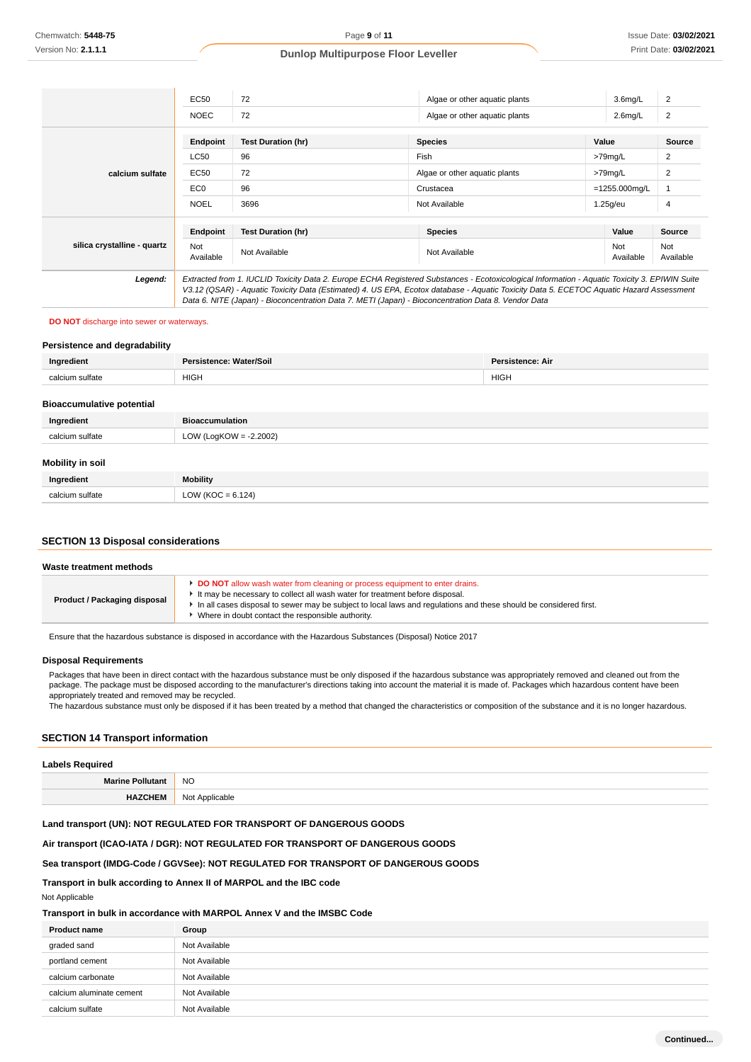|                             | EC50             | 72                                                                                                                                                                                                                                                                                                                                                                                              | Algae or other aquatic plants | 3.6 <sub>mq/L</sub> | 2                |
|-----------------------------|------------------|-------------------------------------------------------------------------------------------------------------------------------------------------------------------------------------------------------------------------------------------------------------------------------------------------------------------------------------------------------------------------------------------------|-------------------------------|---------------------|------------------|
|                             | <b>NOEC</b>      | 72                                                                                                                                                                                                                                                                                                                                                                                              | Algae or other aquatic plants | $2.6$ mg/L          | 2                |
|                             | Endpoint         | <b>Test Duration (hr)</b>                                                                                                                                                                                                                                                                                                                                                                       | <b>Species</b>                | Value               | Source           |
|                             | <b>LC50</b>      | 96                                                                                                                                                                                                                                                                                                                                                                                              | Fish                          | >79mg/L             | 2                |
| calcium sulfate             | EC50             | 72                                                                                                                                                                                                                                                                                                                                                                                              | Algae or other aquatic plants | >79mg/L             | 2                |
|                             | EC <sub>0</sub>  | 96                                                                                                                                                                                                                                                                                                                                                                                              | Crustacea                     | $=1255.000$ mg/L    |                  |
|                             | <b>NOEL</b>      | 3696                                                                                                                                                                                                                                                                                                                                                                                            | Not Available                 | 1.25g/eu            | 4                |
|                             | Endpoint         | <b>Test Duration (hr)</b>                                                                                                                                                                                                                                                                                                                                                                       | <b>Species</b>                | Value               | <b>Source</b>    |
| silica crystalline - quartz | Not<br>Available | Not Available                                                                                                                                                                                                                                                                                                                                                                                   | Not Available                 | Not<br>Available    | Not<br>Available |
| Legend:                     |                  | Extracted from 1. IUCLID Toxicity Data 2. Europe ECHA Registered Substances - Ecotoxicological Information - Aquatic Toxicity 3. EPIWIN Suite<br>V3.12 (QSAR) - Aquatic Toxicity Data (Estimated) 4. US EPA, Ecotox database - Aquatic Toxicity Data 5. ECETOC Aquatic Hazard Assessment<br>Data 6. NITE (Japan) - Bioconcentration Data 7. METI (Japan) - Bioconcentration Data 8. Vendor Data |                               |                     |                  |

### **DO NOT** discharge into sewer or waterways.

### **Persistence and degradability**

| Ingredient                       | Persistence: Water/Soil<br>Persistence: Air |  |  |
|----------------------------------|---------------------------------------------|--|--|
| calcium sulfate                  | <b>HIGH</b><br><b>HIGH</b>                  |  |  |
|                                  |                                             |  |  |
| <b>Bioaccumulative potential</b> |                                             |  |  |
| Ingredient                       | <b>Bioaccumulation</b>                      |  |  |
| calcium sulfate                  | LOW (LogKOW = $-2.2002$ )                   |  |  |
|                                  |                                             |  |  |
| Mobility in soil                 |                                             |  |  |
| Ingredient                       | <b>Mobility</b>                             |  |  |
| calcium sulfate                  | LOW (KOC = $6.124$ )                        |  |  |

### **SECTION 13 Disposal considerations**

#### **Waste treatment methods**

| <b>Product / Packaging disposal</b> | DO NOT allow wash water from cleaning or process equipment to enter drains.<br>It may be necessary to collect all wash water for treatment before disposal.<br>In all cases disposal to sewer may be subject to local laws and regulations and these should be considered first.<br>Where in doubt contact the responsible authority. |
|-------------------------------------|---------------------------------------------------------------------------------------------------------------------------------------------------------------------------------------------------------------------------------------------------------------------------------------------------------------------------------------|
|-------------------------------------|---------------------------------------------------------------------------------------------------------------------------------------------------------------------------------------------------------------------------------------------------------------------------------------------------------------------------------------|

Ensure that the hazardous substance is disposed in accordance with the Hazardous Substances (Disposal) Notice 2017

#### **Disposal Requirements**

Packages that have been in direct contact with the hazardous substance must be only disposed if the hazardous substance was appropriately removed and cleaned out from the package. The package must be disposed according to the manufacturer's directions taking into account the material it is made of. Packages which hazardous content have been appropriately treated and removed may be recycled.

The hazardous substance must only be disposed if it has been treated by a method that changed the characteristics or composition of the substance and it is no longer hazardous.

## **SECTION 14 Transport information**

| <b>Labels Required</b>  |                |  |
|-------------------------|----------------|--|
| <b>Marine Pollutant</b> | <b>NO</b>      |  |
| <b>HAZCHEM</b>          | Not Applicable |  |

## **Land transport (UN): NOT REGULATED FOR TRANSPORT OF DANGEROUS GOODS**

## **Air transport (ICAO-IATA / DGR): NOT REGULATED FOR TRANSPORT OF DANGEROUS GOODS**

## **Sea transport (IMDG-Code / GGVSee): NOT REGULATED FOR TRANSPORT OF DANGEROUS GOODS**

# **Transport in bulk according to Annex II of MARPOL and the IBC code**

Not Applicable

# **Transport in bulk in accordance with MARPOL Annex V and the IMSBC Code**

| <b>Product name</b>      | Group         |
|--------------------------|---------------|
| graded sand              | Not Available |
| portland cement          | Not Available |
| calcium carbonate        | Not Available |
| calcium aluminate cement | Not Available |
| calcium sulfate          | Not Available |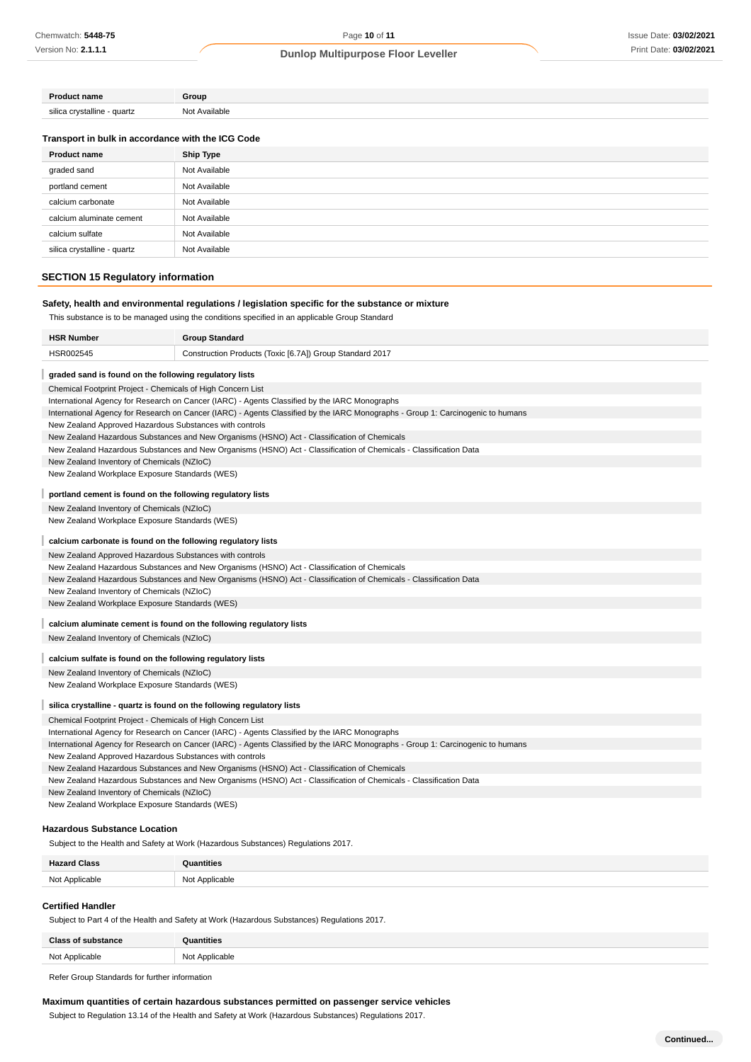Page **10** of **11**

# **Dunlop Multipurpose Floor Leveller**

| <b>Product name</b>            | Group         |  |
|--------------------------------|---------------|--|
| silica crystalline<br>- quartz | Not Available |  |

### **Transport in bulk in accordance with the ICG Code**

| <b>Product name</b>         | <b>Ship Type</b> |
|-----------------------------|------------------|
| graded sand                 | Not Available    |
| portland cement             | Not Available    |
| calcium carbonate           | Not Available    |
| calcium aluminate cement    | Not Available    |
| calcium sulfate             | Not Available    |
| silica crystalline - quartz | Not Available    |

# **SECTION 15 Regulatory information**

## **Safety, health and environmental regulations / legislation specific for the substance or mixture**

This substance is to be managed using the conditions specified in an applicable Group Standard

| <b>HSR Number</b><br><b>Group Standard</b>                                                                                      |  |
|---------------------------------------------------------------------------------------------------------------------------------|--|
| HSR002545<br>Construction Products (Toxic [6.7A]) Group Standard 2017                                                           |  |
| graded sand is found on the following regulatory lists                                                                          |  |
| Chemical Footprint Project - Chemicals of High Concern List                                                                     |  |
| International Agency for Research on Cancer (IARC) - Agents Classified by the IARC Monographs                                   |  |
| International Agency for Research on Cancer (IARC) - Agents Classified by the IARC Monographs - Group 1: Carcinogenic to humans |  |
| New Zealand Approved Hazardous Substances with controls                                                                         |  |
| New Zealand Hazardous Substances and New Organisms (HSNO) Act - Classification of Chemicals                                     |  |
| New Zealand Hazardous Substances and New Organisms (HSNO) Act - Classification of Chemicals - Classification Data               |  |
| New Zealand Inventory of Chemicals (NZIoC)                                                                                      |  |
| New Zealand Workplace Exposure Standards (WES)                                                                                  |  |
| portland cement is found on the following regulatory lists                                                                      |  |
| New Zealand Inventory of Chemicals (NZIoC)                                                                                      |  |
| New Zealand Workplace Exposure Standards (WES)                                                                                  |  |
| calcium carbonate is found on the following regulatory lists                                                                    |  |
| New Zealand Approved Hazardous Substances with controls                                                                         |  |
| New Zealand Hazardous Substances and New Organisms (HSNO) Act - Classification of Chemicals                                     |  |
| New Zealand Hazardous Substances and New Organisms (HSNO) Act - Classification of Chemicals - Classification Data               |  |
| New Zealand Inventory of Chemicals (NZIoC)                                                                                      |  |
| New Zealand Workplace Exposure Standards (WES)                                                                                  |  |
| calcium aluminate cement is found on the following regulatory lists                                                             |  |
| New Zealand Inventory of Chemicals (NZIoC)                                                                                      |  |
| calcium sulfate is found on the following regulatory lists                                                                      |  |
| New Zealand Inventory of Chemicals (NZIoC)                                                                                      |  |
| New Zealand Workplace Exposure Standards (WES)                                                                                  |  |
| silica crystalline - quartz is found on the following regulatory lists                                                          |  |
| Chemical Footprint Project - Chemicals of High Concern List                                                                     |  |
| International Agency for Research on Cancer (IARC) - Agents Classified by the IARC Monographs                                   |  |
| International Agency for Research on Cancer (IARC) - Agents Classified by the IARC Monographs - Group 1: Carcinogenic to humans |  |
| New Zealand Approved Hazardous Substances with controls                                                                         |  |
| New Zealand Hazardous Substances and New Organisms (HSNO) Act - Classification of Chemicals                                     |  |
| New Zealand Hazardous Substances and New Organisms (HSNO) Act - Classification of Chemicals - Classification Data               |  |
| New Zealand Inventory of Chemicals (NZIoC)                                                                                      |  |
| New Zealand Workplace Exposure Standards (WES)                                                                                  |  |
| Hazardous Substance Location                                                                                                    |  |
| Subject to the Health and Safety at Work (Hazardous Substances) Regulations 2017.                                               |  |
| <b>Hazard Class</b><br>Quantities                                                                                               |  |
| Not Applicable<br>Not Applicable                                                                                                |  |
| <b>Certified Handler</b>                                                                                                        |  |

### Subject to Part 4 of the Health and Safety at Work (Hazardous Substances) Regulations 2017.

| <b>Class of substance</b> | Quantities     |
|---------------------------|----------------|
| Not Applicable            | Not Applicable |

Refer Group Standards for further information

### **Maximum quantities of certain hazardous substances permitted on passenger service vehicles**

Subject to Regulation 13.14 of the Health and Safety at Work (Hazardous Substances) Regulations 2017.